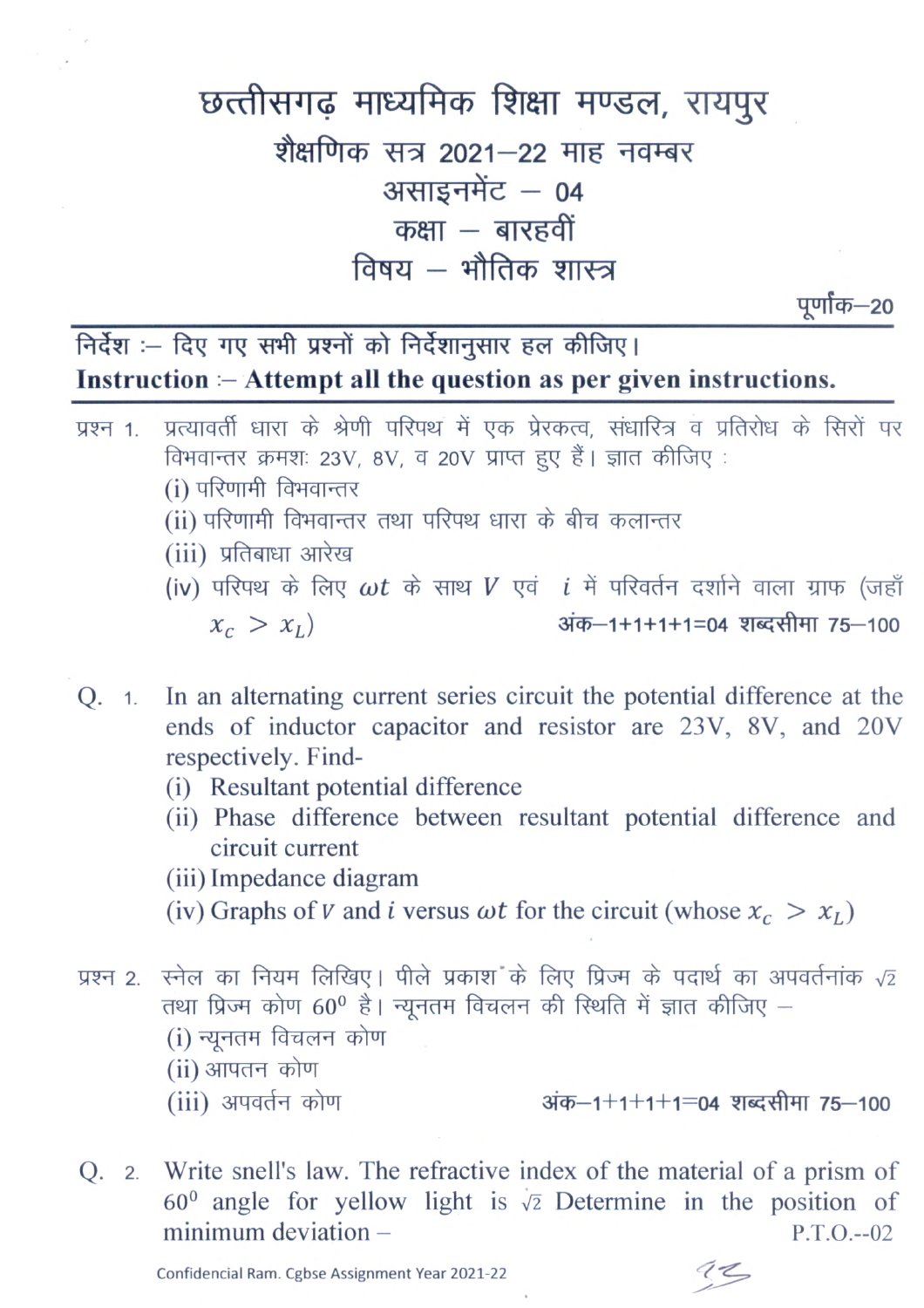## छत्तीसगढ़ माध्यमिक शिक्षा मण्डल, रायपुर शैक्षणिक सत्र 2021-22 माह नवम्बर असाइनमेंट - 04 कक्षा  $-$  बारहवीं विषय – भौतिक शास्त्र

पूर्णांक—20

निर्देश :- दिए गए सभी प्रश्नों को निर्देशानुसार हल कीजिए। Instruction  $-\lambda$  then all the question as per given instructions.

- प्रत्यावर्ती धारा के श्रेणी परिपथ में एक प्रेरकत्व, संधारित्र व प्रतिरोध के सिरों पर प्रश्न 1. विभवान्तर क्रमशः 23V, 8V, व 20V प्राप्त हुए हैं। ज्ञात कीजिए: (i) परिणामी विभवान्तर (ii) परिणामी विभवान्तर तथा परिपथ धारा के बीच कलान्तर (iii) प्रतिबाधा आरेख (iv) परिपथ के लिए  $\omega t$  के साथ  $V$  एवं  $i$  में परिवर्तन दर्शाने वाला ग्राफ (जहाँ  $x_c > x_I$ अंक-1+1+1+1=04 शब्दसीमा 75-100
- Q. 1. In an alternating current series circuit the potential difference at the ends of inductor capacitor and resistor are 23V, 8V, and 20V respectively. Find-
	- (i) Resultant potential difference
	- (ii) Phase difference between resultant potential difference and circuit current
	- (iii) Impedance diagram
	- (iv) Graphs of V and i versus  $\omega t$  for the circuit (whose  $x_c > x_l$ )
- स्नेल का नियम लिखिए। पीले प्रकाश के लिए प्रिज्म के पदार्थ का अपवर्तनांक  $\sqrt{2}$ प्रश्न 2. तथा प्रिज्म कोण 60<sup>0</sup> है। न्यूनतम विचलन की स्थिति में ज्ञात कीजिए -(i) न्यूनतम विचलन कोण (ii) आपतन कोण (iii) अपवर्तन कोण अंक–1+1+1+1=04 शब्दसीमा 75–100
- Q. 2. Write snell's law. The refractive index of the material of a prism of  $60^{\circ}$  angle for yellow light is  $\sqrt{2}$  Determine in the position of  $minimum deviation P.T.O. -02$

Confidencial Ram. Cgbse Assignment Year 2021-22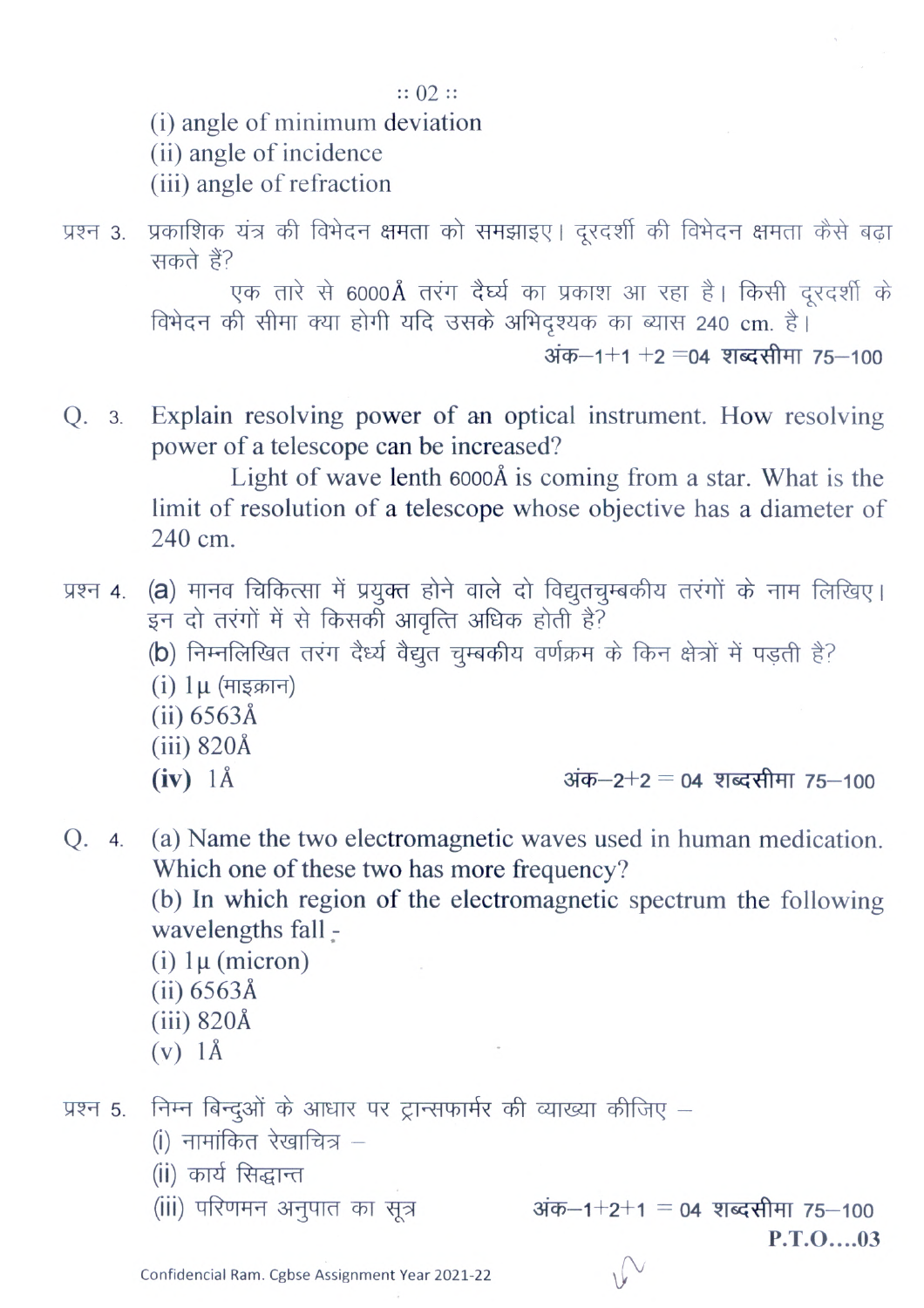$:: 02 ::$ 

(i) angle of minimum deviation

(ii) angle of incidence

(iii) angle of refraction

प्रश्न 3. प्रकाशिक यंत्र की विभेदन क्षमता को समझाइए। दूरदर्शी की विभेदन क्षमता कैसे बढ़ा सकते हैं?

> एक तारे से 6000Å तरंग दैर्घ्य का प्रकाश आ रहा है। किसी दूरदर्शी के विभेदन की सीमा क्या होगी यदि उसके अभिदृश्यक का ब्यास 240 cm. है।

> > अंक–1+1 +2 =04 शब्दसीमा 75–100

Explain resolving power of an optical instrument. How resolving Q. 3. power of a telescope can be increased?

Light of wave lenth 6000Å is coming from a star. What is the limit of resolution of a telescope whose objective has a diameter of  $240 \text{ cm}$ .

- (a) मानव चिकित्सा में प्रयुक्त होने वाले दो विद्युतचुम्बकीय तरंगों के नाम लिखिए। प्रश्न 4. इन दो तरंगों में से किसकों आवृत्ति अधिक होती है? (b) निम्नलिखित तरंग दैर्ध्य वैद्युत चुम्बकीय वर्णक्रम के किन क्षेत्रों में पड़ती है?  $(i)$  1µ (माइक्रान)  $(ii) 6563Å$  $(iii)$  820Å  $(iv)$  1Å अंक–2+2 = 04 शब्दसीमा 75–100
- (a) Name the two electromagnetic waves used in human medication. Q. 4. Which one of these two has more frequency?

(b) In which region of the electromagnetic spectrum the following wavelengths fall -

(i)  $1\mu$  (micron)

- $(ii) 6563Å$
- $(iii)$  820Å
- $(v)$  1Å

निम्न बिन्दुओं के आधार पर ट्रान्सफार्मर की व्याख्या कीजिए – प्रश्न 5.

- (i) नामांकित रेखाचित्र -
- (ii) कार्य सिद्धान्त
- (iii) परिणमन अनुपात का सूत्र

अंक-1+2+1 = 04 शब्दसीमा 75-100  $P.T.O...03$ 

Confidencial Ram. Cgbse Assignment Year 2021-22